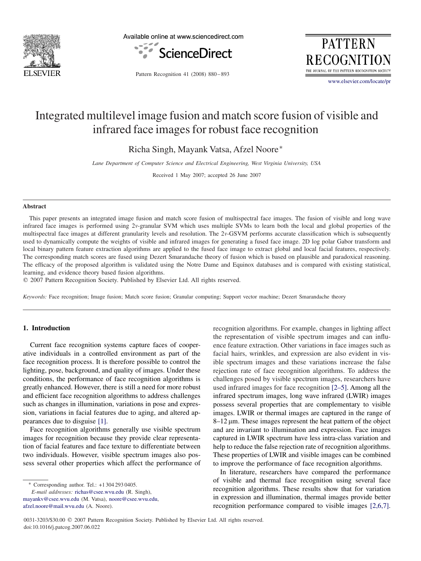

Available online at www.sciencedirect.com



Pattern Recognition 41 (2008) 880 –893

**PATTERN RECOGNITIO** THE JOURNAL OF THE PATTERN RECOGNITION SOCIETY

www.elsevier.com/locate/pr

# Integrated multilevel image fusion and match score fusion of visible and infrared face images for robust face recognition

Richa Singh, Mayank Vatsa, Afzel Noore<sup>∗</sup>

*Lane Department of Computer Science and Electrical Engineering, West Virginia University, USA*

Received 1 May 2007; accepted 26 June 2007

#### **Abstract**

This paper presents an integrated image fusion and match score fusion of multispectral face images. The fusion of visible and long wave infrared face images is performed using 2v-granular SVM which uses multiple SVMs to learn both the local and global properties of the multispectral face images at different granularity levels and resolution. The 2v-GSVM performs accurate classification which is subsequently used to dynamically compute the weights of visible and infrared images for generating a fused face image. 2D log polar Gabor transform and local binary pattern feature extraction algorithms are applied to the fused face image to extract global and local facial features, respectively. The corresponding match scores are fused using Dezert Smarandache theory of fusion which is based on plausible and paradoxical reasoning. The efficacy of the proposed algorithm is validated using the Notre Dame and Equinox databases and is compared with existing statistical, learning, and evidence theory based fusion algorithms.

 $© 2007$  Pattern Recognition Society. Published by Elsevier Ltd. All rights reserved.

*Keywords:* Face recognition; Image fusion; Match score fusion; Granular computing; Support vector machine; Dezert Smarandache theory

## **1. Introduction**

Current face recognition systems capture faces of cooperative individuals in a controlled environment as part of the face recognition process. It is therefore possible to control the lighting, pose, background, and quality of images. Under these conditions, the performance of face recognition algorithms is greatly enhanced. However, there is still a need for more robust and efficient face recognition algorithms to address challenges such as changes in illumination, variations in pose and expression, variations in facial features due to aging, and altered appearances due to disguise [1].

Face recognition algorithms generally use visible spectrum images for recognition because they provide clear representation of facial features and face texture to differentiate between two individuals. However, visible spectrum images also possess several other properties which affect the performance of

∗ Corresponding author. Tel.: +1 304 293 0405.

*E-mail addresses:* richas@csee.wvu.edu (R. Singh),

mayankv@csee.wvu.edu (M. Vatsa), noore@csee.wvu.edu, afzel.noore@mail.wvu.edu (A. Noore).

recognition algorithms. For example, changes in lighting affect the representation of visible spectrum images and can influence feature extraction. Other variations in face images such as facial hairs, wrinkles, and expression are also evident in visible spectrum images and these variations increase the false rejection rate of face recognition algorithms. To address the challenges posed by visible spectrum images, researchers have used infrared images for face recognition [2–5]. Among all the infrared spectrum images, long wave infrared (LWIR) images possess several properties that are complementary to visible images. LWIR or thermal images are captured in the range of 8–12 µm. These images represent the heat pattern of the object and are invariant to illumination and expression. Face images captured in LWIR spectrum have less intra-class variation and help to reduce the false rejection rate of recognition algorithms. These properties of LWIR and visible images can be combined to improve the performance of face recognition algorithms.

In literature, researchers have compared the performance of visible and thermal face recognition using several face recognition algorithms. These results show that for variation in expression and illumination, thermal images provide better recognition performance compared to visible images [2,6,7].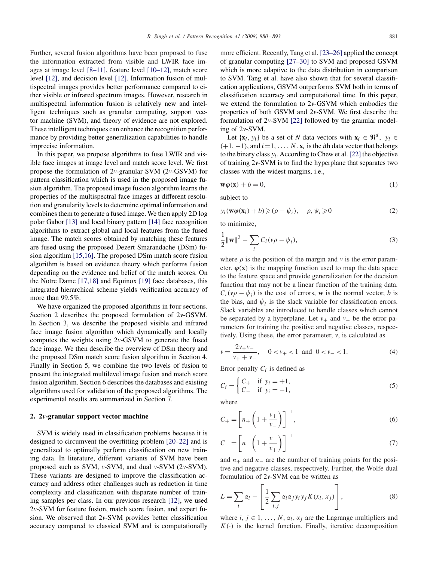Further, several fusion algorithms have been proposed to fuse the information extracted from visible and LWIR face images at image level [8–11], feature level [10–12], match score level [12], and decision level [12]. Information fusion of multispectral images provides better performance compared to either visible or infrared spectrum images. However, research in multispectral information fusion is relatively new and intelligent techniques such as granular computing, support vector machine (SVM), and theory of evidence are not explored. These intelligent techniques can enhance the recognition performance by providing better generalization capabilities to handle imprecise information.

In this paper, we propose algorithms to fuse LWIR and visible face images at image level and match score level. We first propose the formulation of  $2v$ -granular SVM ( $2v$ -GSVM) for pattern classification which is used in the proposed image fusion algorithm. The proposed image fusion algorithm learns the properties of the multispectral face images at different resolution and granularity levels to determine optimal information and combines them to generate a fused image. We then apply 2D log polar Gabor [13] and local binary pattern [14] face recognition algorithms to extract global and local features from the fused image. The match scores obtained by matching these features are fused using the proposed Dezert Smarandache (DSm) fusion algorithm [15,16]. The proposed DSm match score fusion algorithm is based on evidence theory which performs fusion depending on the evidence and belief of the match scores. On the Notre Dame [17,18] and Equinox [19] face databases, this integrated hierarchical scheme yields verification accuracy of more than 99.5%.

We have organized the proposed algorithms in four sections. Section 2 describes the proposed formulation of  $2v$ -GSVM. In Section 3, we describe the proposed visible and infrared face image fusion algorithm which dynamically and locally computes the weights using  $2v$ -GSVM to generate the fused face image. We then describe the overview of DSm theory and the proposed DSm match score fusion algorithm in Section 4. Finally in Section 5, we combine the two levels of fusion to present the integrated multilevel image fusion and match score fusion algorithm. Section 6 describes the databases and existing algorithms used for validation of the proposed algorithms. The experimental results are summarized in Section 7.

## **2. 2**-**-granular support vector machine**

SVM is widely used in classification problems because it is designed to circumvent the overfitting problem [20–22] and is generalized to optimally perform classification on new training data. In literature, different variants of SVM have been proposed such as SVM, v-SVM, and dual v-SVM (2v-SVM). These variants are designed to improve the classification accuracy and address other challenges such as reduction in time complexity and classification with disparate number of training samples per class. In our previous research [12], we used 2v-SVM for feature fusion, match score fusion, and expert fusion. We observed that  $2v$ -SVM provides better classification accuracy compared to classical SVM and is computationally more efficient. Recently, Tang et al. [23–26] applied the concept of granular computing [27–30] to SVM and proposed GSVM which is more adaptive to the data distribution in comparison to SVM. Tang et al. have also shown that for several classification applications, GSVM outperforms SVM both in terms of classification accuracy and computational time. In this paper, we extend the formulation to  $2\nu$ -GSVM which embodies the properties of both GSVM and 2v-SVM. We first describe the formulation of 2v-SVM [22] followed by the granular modeling of 2v-SVM.

Let  $\{x_i, y_i\}$  be a set of *N* data vectors with  $x_i \in \mathbb{R}^d$ ,  $y_i \in$  $(+1, -1)$ , and  $i = 1, \ldots, N$ . **x**<sub>i</sub> is the *i*th data vector that belongs to the binary class  $y_i$ . According to Chew et al. [22] the objective of training 2v-SVM is to find the hyperplane that separates two classes with the widest margins, i.e.,

$$
\mathbf{w}\boldsymbol{\varphi}(\mathbf{x}) + b = 0,\tag{1}
$$

subject to

$$
y_i(\mathbf{w}\boldsymbol{\varphi}(\mathbf{x}_i) + b) \geqslant (\rho - \psi_i), \quad \rho, \psi_i \geqslant 0 \tag{2}
$$

to minimize,

$$
\frac{1}{2} \|\mathbf{w}\|^2 - \sum_i C_i (\nu \rho - \psi_i),\tag{3}
$$

where  $\rho$  is the position of the margin and  $\nu$  is the error parameter.  $\varphi(x)$  is the mapping function used to map the data space to the feature space and provide generalization for the decision function that may not be a linear function of the training data.  $C_i(v\rho - \psi_i)$  is the cost of errors, **w** is the normal vector, *b* is the bias, and  $\psi_i$  is the slack variable for classification errors. Slack variables are introduced to handle classes which cannot be separated by a hyperplane. Let  $v_+$  and  $v_-$  be the error parameters for training the positive and negative classes, respectively. Using these, the error parameter,  $v$ , is calculated as

$$
v = \frac{2v_+v_-}{v_+ + v_-}, \quad 0 < v_+ < 1 \text{ and } 0 < v_- < 1.
$$
 (4)

Error penalty  $C_i$  is defined as

$$
C_i = \begin{cases} C_+ & \text{if } y_i = +1, \\ C_- & \text{if } y_i = -1, \end{cases}
$$
 (5)

where

$$
C_{+} = \left[ n_{+} \left( 1 + \frac{v_{+}}{v_{-}} \right) \right]^{-1},\tag{6}
$$

$$
C_{-} = \left[ n - \left( 1 + \frac{v_{-}}{v_{+}} \right) \right]^{-1} \tag{7}
$$

and  $n_+$  and  $n_-\$  are the number of training points for the positive and negative classes, respectively. Further, the Wolfe dual formulation of 2v-SVM can be written as

$$
L = \sum_{i} \alpha_i - \left[ \frac{1}{2} \sum_{i,j} \alpha_i \alpha_j y_i y_j K(x_i, x_j) \right],
$$
 (8)

where  $i, j \in 1, \ldots, N, \alpha_i, \alpha_j$  are the Lagrange multipliers and  $K(\cdot)$  is the kernel function. Finally, iterative decomposition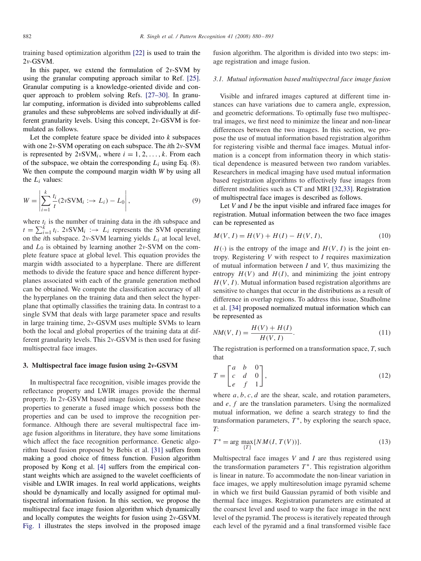training based optimization algorithm [22] is used to train the  $2v$ -GSVM.

In this paper, we extend the formulation of  $2v-SVM$  by using the granular computing approach similar to Ref. [25]. Granular computing is a knowledge-oriented divide and conquer approach to problem solving Refs. [27–30]. In granular computing, information is divided into subproblems called granules and these subproblems are solved individually at different granularity levels. Using this concept, 2v-GSVM is formulated as follows.

Let the complete feature space be divided into *k* subspaces with one 2v-SVM operating on each subspace. The *i*th 2v-SVM is represented by  $2vSWM_i$ , where  $i = 1, 2, ..., k$ . From each of the subspace, we obtain the corresponding  $L_i$  using Eq. (8). We then compute the compound margin width *W* by using all the  $L_i$  values:

$$
W = \left| \sum_{i=1}^{k} \frac{t_i}{t} (2vSWM_i \div L_i) - L_0 \right|,
$$
\n(9)

where  $t_i$  is the number of training data in the *i*th subspace and  $t = \sum_{i=1}^{k} t_i$ . 2vSVM<sub>i</sub>  $\Rightarrow$  L<sub>i</sub> represents the SVM operating on the *i*th subspace.  $2v$ -SVM learning yields  $L_i$  at local level, and  $L_0$  is obtained by learning another  $2v$ -SVM on the complete feature space at global level. This equation provides the margin width associated to a hyperplane. There are different methods to divide the feature space and hence different hyperplanes associated with each of the granule generation method can be obtained. We compute the classification accuracy of all the hyperplanes on the training data and then select the hyperplane that optimally classifies the training data. In contrast to a single SVM that deals with large parameter space and results in large training time, 2v-GSVM uses multiple SVMs to learn both the local and global properties of the training data at different granularity levels. This 2v-GSVM is then used for fusing multispectral face images.

## 3. Multispectral face image fusion using  $2v$ -GSVM

In multispectral face recognition, visible images provide the reflectance property and LWIR images provide the thermal property. In  $2v$ -GSVM based image fusion, we combine these properties to generate a fused image which possess both the properties and can be used to improve the recognition performance. Although there are several multispectral face image fusion algorithms in literature, they have some limitations which affect the face recognition performance. Genetic algorithm based fusion proposed by Bebis et al. [31] suffers from making a good choice of fitness function. Fusion algorithm proposed by Kong et al. [4] suffers from the empirical constant weights which are assigned to the wavelet coefficients of visible and LWIR images. In real world applications, weights should be dynamically and locally assigned for optimal multispectral information fusion. In this section, we propose the multispectral face image fusion algorithm which dynamically and locally computes the weights for fusion using  $2v$ -GSVM. Fig. 1 illustrates the steps involved in the proposed image

fusion algorithm. The algorithm is divided into two steps: image registration and image fusion.

### *3.1. Mutual information based multispectral face image fusion*

Visible and infrared images captured at different time instances can have variations due to camera angle, expression, and geometric deformations. To optimally fuse two multispectral images, we first need to minimize the linear and non-linear differences between the two images. In this section, we propose the use of mutual information based registration algorithm for registering visible and thermal face images. Mutual information is a concept from information theory in which statistical dependence is measured between two random variables. Researchers in medical imaging have used mutual information based registration algorithms to effectively fuse images from different modalities such as CT and MRI [32,33]. Registration of multispectral face images is described as follows.

Let *V* and *I* be the input visible and infrared face images for registration. Mutual information between the two face images can be represented as

$$
M(V, I) = H(V) + H(I) - H(V, I),
$$
\n(10)

 $H(\cdot)$  is the entropy of the image and  $H(V, I)$  is the joint entropy. Registering *V* with respect to *I* requires maximization of mutual information between *I* and *V*, thus maximizing the entropy  $H(V)$  and  $H(I)$ , and minimizing the joint entropy  $H(V, I)$ . Mutual information based registration algorithms are sensitive to changes that occur in the distributions as a result of difference in overlap regions. To address this issue, Studholme et al. [34] proposed normalized mutual information which can be represented as

$$
NM(V, I) = \frac{H(V) + H(I)}{H(V, I)}.
$$
\n(11)

The registration is performed on a transformation space, *T*, such that

$$
T = \begin{bmatrix} a & b & 0 \\ c & d & 0 \\ e & f & 1 \end{bmatrix},\tag{12}
$$

where  $a, b, c, d$  are the shear, scale, and rotation parameters, and  $e$ ,  $f$  are the translation parameters. Using the normalized mutual information, we define a search strategy to find the transformation parameters,  $T^*$ , by exploring the search space, *T*:

$$
T^* = \arg \max_{\{I\}} \{NM(I, T(V))\}.
$$
 (13)

Multispectral face images *V* and *I* are thus registered using the transformation parameters  $T^*$ . This registration algorithm is linear in nature. To accommodate the non-linear variation in face images, we apply multiresolution image pyramid scheme in which we first build Gaussian pyramid of both visible and thermal face images. Registration parameters are estimated at the coarsest level and used to warp the face image in the next level of the pyramid. The process is iteratively repeated through each level of the pyramid and a final transformed visible face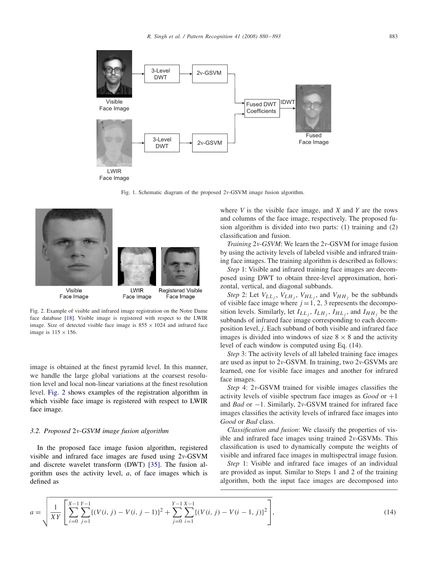

Fig. 1. Schematic diagram of the proposed 2v-GSVM image fusion algorithm.



Fig. 2. Example of visible and infrared image registration on the Notre Dame face database [18]. Visible image is registered with respect to the LWIR image. Size of detected visible face image is  $855 \times 1024$  and infrared face image is  $115 \times 156$ .

image is obtained at the finest pyramid level. In this manner, we handle the large global variations at the coarsest resolution level and local non-linear variations at the finest resolution level. Fig. 2 shows examples of the registration algorithm in which visible face image is registered with respect to LWIR face image.

#### 3.2. Proposed 2v-GSVM image fusion algorithm

In the proposed face image fusion algorithm, registered visible and infrared face images are fused using  $2v$ -GSVM and discrete wavelet transform (DWT) [35]. The fusion algorithm uses the activity level, *a*, of face images which is defined as

where *V* is the visible face image, and *X* and *Y* are the rows and columns of the face image, respectively. The proposed fusion algorithm is divided into two parts: (1) training and (2) classification and fusion.

Training 2v-GSVM: We learn the 2v-GSVM for image fusion by using the activity levels of labeled visible and infrared training face images. The training algorithm is described as follows:

*Step* 1: Visible and infrared training face images are decomposed using DWT to obtain three-level approximation, horizontal, vertical, and diagonal subbands.

*Step* 2: Let  $V_{LL_j}$ ,  $V_{LH_j}$ ,  $V_{HL_j}$ , and  $V_{HH_j}$  be the subbands of visible face image where  $j = 1, 2, 3$  represents the decomposition levels. Similarly, let  $I_{LL_j}$ ,  $I_{LH_j}$ ,  $I_{HL_j}$ , and  $I_{HH_j}$  be the subbands of infrared face image corresponding to each decomposition level, *j*. Each subband of both visible and infrared face images is divided into windows of size  $8 \times 8$  and the activity level of each window is computed using Eq. (14).

*Step* 3: The activity levels of all labeled training face images are used as input to  $2v$ -GSVM. In training, two  $2v$ -GSVMs are learned, one for visible face images and another for infrared face images.

Step 4: 2v-GSVM trained for visible images classifies the activity levels of visible spectrum face images as *Good* or +1 and *Bad* or −1. Similarly, 2v-GSVM trained for infrared face images classifies the activity levels of infrared face images into *Good* or *Bad* class.

*Classification and fusion*: We classify the properties of visible and infrared face images using trained  $2\nu$ -GSVMs. This classification is used to dynamically compute the weights of visible and infrared face images in multispectral image fusion.

*Step* 1: Visible and infrared face images of an individual are provided as input. Similar to Steps 1 and 2 of the training algorithm, both the input face images are decomposed into

$$
a = \sqrt{\frac{1}{XY} \left[ \sum_{i=0}^{X-1} \sum_{j=1}^{Y-1} \{ (V(i, j) - V(i, j-1)) \}^2 + \sum_{j=0}^{Y-1} \sum_{i=1}^{X-1} \{ (V(i, j) - V(i-1, j) \}^2 \right]},
$$
\n(14)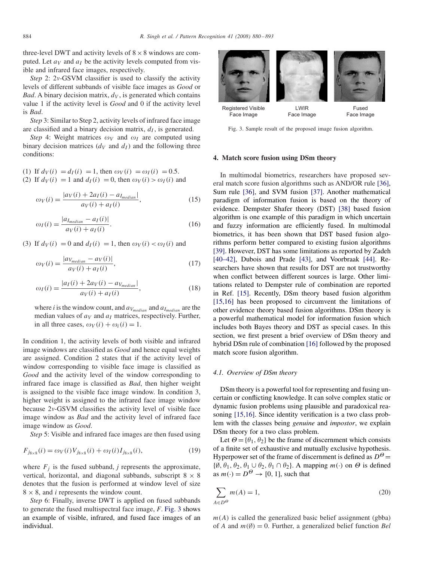three-level DWT and activity levels of  $8 \times 8$  windows are computed. Let  $a_V$  and  $a_I$  be the activity levels computed from visible and infrared face images, respectively.

Step 2: 2v-GSVM classifier is used to classify the activity levels of different subbands of visible face images as *Good* or *Bad*. A binary decision matrix,  $d_V$ , is generated which contains value 1 if the activity level is *Good* and 0 if the activity level is *Bad*.

*Step* 3: Similar to Step 2, activity levels of infrared face image are classified and a binary decision matrix,  $d<sub>I</sub>$ , is generated.

*Step* 4: Weight matrices  $\omega_V$  and  $\omega_I$  are computed using binary decision matrices  $(d_V \text{ and } d_I)$  and the following three conditions:

(1) If  $d_V(i) = d_I(i) = 1$ , then  $\omega_V(i) = \omega_I(i) = 0.5$ .

(2) If 
$$
d_V(i) = 1
$$
 and  $d_I(i) = 0$ , then  $\omega_V(i) > \omega_I(i)$  and

$$
\omega_V(i) = \frac{|a_V(i) + 2a_I(i) - a_{Imedian}|}{a_V(i) + a_I(i)},
$$
\n(15)

$$
\omega_I(i) = \frac{|a_{I_{median}} - a_I(i)|}{a_V(i) + a_I(i)}.
$$
\n(16)

(3) If  $d_V(i) = 0$  and  $d_I(i) = 1$ , then  $\omega_V(i) < \omega_I(i)$  and

$$
\omega_V(i) = \frac{|a_{V_{median}} - a_V(i)|}{a_V(i) + a_I(i)},\tag{17}
$$

$$
\omega_I(i) = \frac{|a_I(i) + 2a_V(i) - a_{V_{median}}|}{a_V(i) + a_I(i)},
$$
\n(18)

where *i* is the window count, and  $a_{V_{median}}$  and  $a_{I_{median}}$  are the median values of  $a_V$  and  $a_I$  matrices, respectively. Further, in all three cases,  $\omega_V(i) + \omega_i(i) = 1$ .

In condition 1, the activity levels of both visible and infrared image windows are classified as *Good* and hence equal weights are assigned. Condition 2 states that if the activity level of window corresponding to visible face image is classified as *Good* and the activity level of the window corresponding to infrared face image is classified as *Bad*, then higher weight is assigned to the visible face image window. In condition 3, higher weight is assigned to the infrared face image window because  $2v$ -GSVM classifies the activity level of visible face image window as *Bad* and the activity level of infrared face image window as *Good*.

*Step* 5: Visible and infrared face images are then fused using

$$
F_{j_{8\times 8}}(i) = \omega_V(i) V_{j_{8\times 8}}(i) + \omega_I(i) I_{j_{8\times 8}}(i),
$$
\n(19)

where  $F_j$  is the fused subband, *j* represents the approximate, vertical, horizontal, and diagonal subbands, subscript  $8 \times 8$ denotes that the fusion is performed at window level of size  $8 \times 8$ , and *i* represents the window count.

*Step* 6: Finally, inverse DWT is applied on fused subbands to generate the fused multispectral face image, *F*. Fig. 3 shows an example of visible, infrared, and fused face images of an individual.



Fig. 3. Sample result of the proposed image fusion algorithm.

#### **4. Match score fusion using DSm theory**

In multimodal biometrics, researchers have proposed several match score fusion algorithms such as AND/OR rule [36], Sum rule [36], and SVM fusion [37]. Another mathematical paradigm of information fusion is based on the theory of evidence. Dempster Shafer theory (DST) [38] based fusion algorithm is one example of this paradigm in which uncertain and fuzzy information are efficiently fused. In multimodal biometrics, it has been shown that DST based fusion algorithms perform better compared to existing fusion algorithms [39]. However, DST has some limitations as reported by Zadeh [40–42], Dubois and Prade [43], and Voorbraak [44]. Researchers have shown that results for DST are not trustworthy when conflict between different sources is large. Other limitations related to Dempster rule of combination are reported in Ref. [15]. Recently, DSm theory based fusion algorithm [15,16] has been proposed to circumvent the limitations of other evidence theory based fusion algorithms. DSm theory is a powerful mathematical model for information fusion which includes both Bayes theory and DST as special cases. In this section, we first present a brief overview of DSm theory and hybrid DSm rule of combination [16] followed by the proposed match score fusion algorithm.

#### *4.1. Overview of DSm theory*

DSm theory is a powerful tool for representing and fusing uncertain or conflicting knowledge. It can solve complex static or dynamic fusion problems using plausible and paradoxical reasoning [15,16]. Since identity verification is a two class problem with the classes being *genuine* and *impostor*, we explain DSm theory for a two class problem.

Let  $\Theta = {\theta_1, \theta_2}$  be the frame of discernment which consists of a finite set of exhaustive and mutually exclusive hypothesis. Hyperpower set of the frame of discernment is defined as  $D^{\Theta} =$  $\{\emptyset, \theta_1, \theta_2, \theta_1 \cup \theta_2, \theta_1 \cap \theta_2\}$ . A mapping  $m(\cdot)$  on  $\Theta$  is defined as  $m(\cdot) = D^{\Theta} \rightarrow [0, 1]$ , such that

$$
\sum_{A \in D^{\Theta}} m(A) = 1,\tag{20}
$$

 $m(A)$  is called the generalized basic belief assignment (gbba) of *A* and  $m(\emptyset) = 0$ . Further, a generalized belief function *Bel*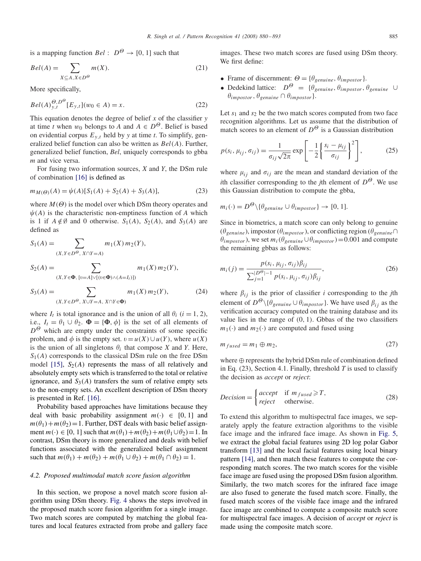is a mapping function  $Bel: D^{\Theta} \rightarrow [0, 1]$  such that

$$
Bel(A) = \sum_{X \subseteq A, X \in D^{\Theta}} m(X). \tag{21}
$$

More specifically,

$$
Bel(A)_{y,t}^{\Theta, D^{\Theta}} [E_{y,t}](w_0 \in A) = x.
$$
 (22)

This equation denotes the degree of belief *x* of the classifier *y* at time *t* when  $w_0$  belongs to *A* and  $A \in D^{\Theta}$ . Belief is based on evidential corpus  $E_{v,t}$  held by *y* at time *t*. To simplify, generalized belief function can also be written as  $Bel(A)$ . Further, generalized belief function, *Bel*, uniquely corresponds to gbba *m* and vice versa.

For fusing two information sources, *X* and *Y*, the DSm rule of combination [16] is defined as

$$
m_{M(\Theta)}(A) = \psi(A)[S_1(A) + S_2(A) + S_3(A)],
$$
\n(23)

where  $M(\Theta)$  is the model over which DSm theory operates and  $\psi(A)$  is the characteristic non-emptiness function of A which is 1 if  $A \notin \emptyset$  and 0 otherwise.  $S_1(A)$ ,  $S_2(A)$ , and  $S_3(A)$  are defined as

$$
S_1(A) = \sum_{(X, Y \in D^{\Theta}, X \cap Y = A)} m_1(X) m_2(Y),
$$
  
\n
$$
S_2(A) = \sum_{(X, Y \in \Phi, [v = A] \vee [(v \in \Phi) \wedge (A = I_v)])} m_1(X) m_2(Y),
$$
  
\n
$$
S_3(A) = \sum m_1(X) m_2(Y),
$$
 (24)

 $(X, Y \in D^{\Theta}, X \cup Y = A, X \cap Y \in \Phi)$ 

where  $I_t$  is total ignorance and is the union of all  $\theta_i$  ( $i = 1, 2$ ), i.e.,  $I_t = \theta_1 \cup \theta_2$ .  $\Phi = {\Phi, \phi}$  is the set of all elements of  $D^{\Theta}$  which are empty under the constraints of some specific problem, and  $\phi$  is the empty set.  $v = u(X) \cup u(Y)$ , where  $u(X)$ is the union of all singletons  $\theta_i$  that compose *X* and *Y*. Here,  $S_1(A)$  corresponds to the classical DSm rule on the free DSm model [15],  $S_2(A)$  represents the mass of all relatively and absolutely empty sets which is transferred to the total or relative ignorance, and  $S_3(A)$  transfers the sum of relative empty sets to the non-empty sets. An excellent description of DSm theory is presented in Ref. [16].

Probability based approaches have limitations because they deal with basic probability assignment  $m(\cdot) \in [0, 1]$  and  $m(\theta_1)+m(\theta_2)=1$ . Further, DST deals with basic belief assignment  $m(\cdot) \in [0, 1]$  such that  $m(\theta_1)+m(\theta_2)+m(\theta_1\cup\theta_2)=1$ . In contrast, DSm theory is more generalized and deals with belief functions associated with the generalized belief assignment such that  $m(\theta_1) + m(\theta_2) + m(\theta_1 \cup \theta_2) + m(\theta_1 \cap \theta_2) = 1$ .

### *4.2. Proposed multimodal match score fusion algorithm*

In this section, we propose a novel match score fusion algorithm using DSm theory. Fig. 4 shows the steps involved in the proposed match score fusion algorithm for a single image. Two match scores are computed by matching the global features and local features extracted from probe and gallery face

images. These two match scores are fused using DSm theory. We first define:

- Frame of discernment:  $\Theta = {\theta_{genuine}, \theta_{impostor}}$ .
- Dedekind lattice:  $D^{\Theta} = {\theta}_{\text{genuine}}, \theta_{\text{impostor}}, \theta_{\text{genuine}} \cup$  $\theta_{\text{impostor}}, \theta_{\text{genuine}} \cap \theta_{\text{impostor}}$ .

Let  $s_1$  and  $s_2$  be the two match scores computed from two face recognition algorithms. Let us assume that the distribution of match scores to an element of  $D^{\Theta}$  is a Gaussian distribution

$$
p(s_i, \mu_{ij}, \sigma_{ij}) = \frac{1}{\sigma_{ij}\sqrt{2\pi}} \exp\left[-\frac{1}{2}\left\{\frac{s_i - \mu_{ij}}{\sigma_{ij}}\right\}^2\right],\tag{25}
$$

where  $\mu_{ij}$  and  $\sigma_{ij}$  are the mean and standard deviation of the *i*th classifier corresponding to the *j*th element of  $D^{\Theta}$ . We use this Gaussian distribution to compute the gbba,

$$
m_i(\cdot) = D^{\Theta} \setminus \{ \theta_{genuine} \cup \theta_{impostor} \} \rightarrow [0, 1].
$$

Since in biometrics, a match score can only belong to genuine  $(\theta_{genuine})$ , impostor ( $\theta_{impostor}$ ), or conflicting region ( $\theta_{genuine} \cap$  $\theta_{impostor}$ ), we set  $m_i(\theta_{genuine} \cup \theta_{impostor})=0.001$  and compute the remaining gbbas as follows:

$$
m_i(j) = \frac{p(s_i, \mu_{ij}, \sigma_{ij})\beta_{ij}}{\sum_{j=1}^{|D^{\Theta}|-1} p(s_i, \mu_{ij}, \sigma_{ij})\beta_{ij}},
$$
\n(26)

where  $\beta_{ij}$  is the prior of classifier *i* corresponding to the *j*th element of  $D^{\Theta} \setminus {\theta_{genuine} \cup \theta_{impostor}}$ . We have used  $\beta_{ij}$  as the verification accuracy computed on the training database and its value lies in the range of  $(0, 1)$ . Gbbas of the two classifiers  $m_1(\cdot)$  and  $m_2(\cdot)$  are computed and fused using

$$
m_{fused} = m_1 \oplus m_2,\tag{27}
$$

where ⊕ represents the hybrid DSm rule of combination defined in Eq.  $(23)$ , Section 4.1. Finally, threshold *T* is used to classify the decision as *accept* or *reject*:

$$
Decision = \begin{cases} accept & \text{if } m_{fused} \ge T, \\ reject & \text{otherwise.} \end{cases}
$$
 (28)

To extend this algorithm to multispectral face images, we separately apply the feature extraction algorithms to the visible face image and the infrared face image. As shown in Fig. 5, we extract the global facial features using 2D log polar Gabor transform [13] and the local facial features using local binary pattern [14], and then match these features to compute the corresponding match scores. The two match scores for the visible face image are fused using the proposed DSm fusion algorithm. Similarly, the two match scores for the infrared face image are also fused to generate the fused match score. Finally, the fused match scores of the visible face image and the infrared face image are combined to compute a composite match score for multispectral face images. A decision of *accept* or *reject* is made using the composite match score.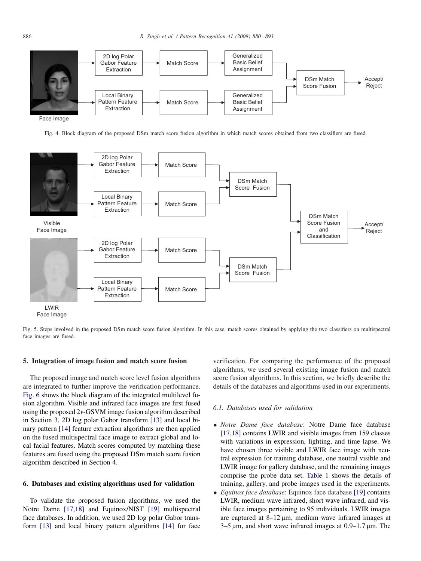

Fig. 4. Block diagram of the proposed DSm match score fusion algorithm in which match scores obtained from two classifiers are fused.



Fig. 5. Steps involved in the proposed DSm match score fusion algorithm. In this case, match scores obtained by applying the two classifiers on multispectral face images are fused.

# **5. Integration of image fusion and match score fusion**

The proposed image and match score level fusion algorithms are integrated to further improve the verification performance. Fig. 6 shows the block diagram of the integrated multilevel fusion algorithm. Visible and infrared face images are first fused using the proposed  $2v$ -GSVM image fusion algorithm described in Section 3. 2D log polar Gabor transform [13] and local binary pattern [14] feature extraction algorithms are then applied on the fused multispectral face image to extract global and local facial features. Match scores computed by matching these features are fused using the proposed DSm match score fusion algorithm described in Section 4.

## **6. Databases and existing algorithms used for validation**

To validate the proposed fusion algorithms, we used the Notre Dame [17,18] and Equinox/NIST [19] multispectral face databases. In addition, we used 2D log polar Gabor transform [13] and local binary pattern algorithms [14] for face verification. For comparing the performance of the proposed algorithms, we used several existing image fusion and match score fusion algorithms. In this section, we briefly describe the details of the databases and algorithms used in our experiments.

## *6.1. Databases used for validation*

- *Notre Dame face database*: Notre Dame face database [17,18] contains LWIR and visible images from 159 classes with variations in expression, lighting, and time lapse. We have chosen three visible and LWIR face image with neutral expression for training database, one neutral visible and LWIR image for gallery database, and the remaining images comprise the probe data set. Table 1 shows the details of training, gallery, and probe images used in the experiments.
- *Equinox face database*: Equinox face database [19] contains LWIR, medium wave infrared, short wave infrared, and visible face images pertaining to 95 individuals. LWIR images are captured at  $8-12 \mu m$ , medium wave infrared images at  $3-5 \mu$ m, and short wave infrared images at 0.9–1.7  $\mu$ m. The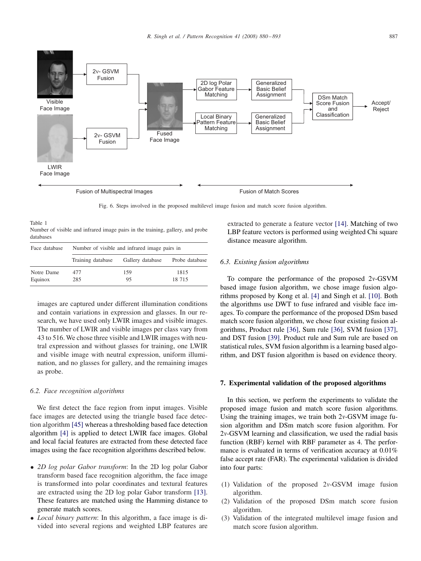

Fig. 6. Steps involved in the proposed multilevel image fusion and match score fusion algorithm.

Number of visible and infrared image pairs in the training, gallery, and probe databases

| Face database | Number of visible and infrared image pairs in |                  |                |  |  |  |  |  |
|---------------|-----------------------------------------------|------------------|----------------|--|--|--|--|--|
|               | Training database                             | Gallery database | Probe database |  |  |  |  |  |
| Notre Dame    | 477                                           | 159              | 1815           |  |  |  |  |  |
| Equinox       | 285                                           | 95               | 18 715         |  |  |  |  |  |

images are captured under different illumination conditions and contain variations in expression and glasses. In our research, we have used only LWIR images and visible images. The number of LWIR and visible images per class vary from 43 to 516. We chose three visible and LWIR images with neutral expression and without glasses for training, one LWIR and visible image with neutral expression, uniform illumination, and no glasses for gallery, and the remaining images as probe.

#### *6.2. Face recognition algorithms*

Table 1

We first detect the face region from input images. Visible face images are detected using the triangle based face detection algorithm [45] whereas a thresholding based face detection algorithm [4] is applied to detect LWIR face images. Global and local facial features are extracted from these detected face images using the face recognition algorithms described below.

- *2D log polar Gabor transform*: In the 2D log polar Gabor transform based face recognition algorithm, the face image is transformed into polar coordinates and textural features are extracted using the 2D log polar Gabor transform [13]. These features are matched using the Hamming distance to generate match scores.
- *Local binary pattern*: In this algorithm, a face image is divided into several regions and weighted LBP features are

extracted to generate a feature vector [14]. Matching of two LBP feature vectors is performed using weighted Chi square distance measure algorithm.

## *6.3. Existing fusion algorithms*

To compare the performance of the proposed  $2v$ -GSVM based image fusion algorithm, we chose image fusion algorithms proposed by Kong et al. [4] and Singh et al. [10]. Both the algorithms use DWT to fuse infrared and visible face images. To compare the performance of the proposed DSm based match score fusion algorithm, we chose four existing fusion algorithms, Product rule [36], Sum rule [36], SVM fusion [37], and DST fusion [39]. Product rule and Sum rule are based on statistical rules, SVM fusion algorithm is a learning based algorithm, and DST fusion algorithm is based on evidence theory.

#### **7. Experimental validation of the proposed algorithms**

In this section, we perform the experiments to validate the proposed image fusion and match score fusion algorithms. Using the training images, we train both  $2v$ -GSVM image fusion algorithm and DSm match score fusion algorithm. For 2v-GSVM learning and classification, we used the radial basis function (RBF) kernel with RBF parameter as 4. The performance is evaluated in terms of verification accuracy at  $0.01\%$ false accept rate (FAR). The experimental validation is divided into four parts:

- $(1)$  Validation of the proposed  $2v$ -GSVM image fusion algorithm.
- (2) Validation of the proposed DSm match score fusion algorithm.
- (3) Validation of the integrated multilevel image fusion and match score fusion algorithm.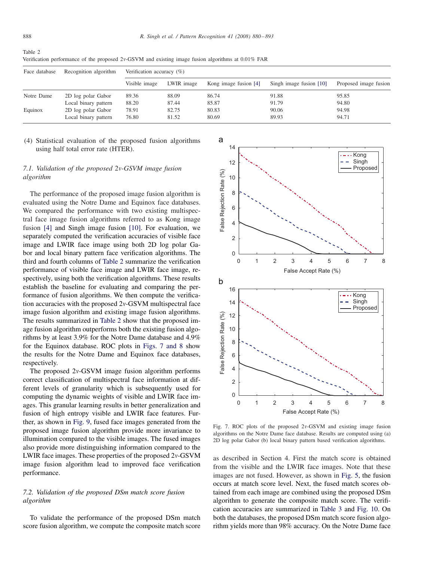| Face database<br>Notre Dame | Recognition algorithm | Verification accuracy $(\%)$ |            |                         |                           |                       |  |  |  |  |
|-----------------------------|-----------------------|------------------------------|------------|-------------------------|---------------------------|-----------------------|--|--|--|--|
|                             |                       | Visible image                | LWIR image | Kong image fusion $[4]$ | Singh image fusion $[10]$ | Proposed image fusion |  |  |  |  |
|                             | 2D log polar Gabor    | 89.36                        | 88.09      | 86.74                   | 91.88                     | 95.85                 |  |  |  |  |
|                             | Local binary pattern  | 88.20                        | 87.44      | 85.87                   | 91.79                     | 94.80                 |  |  |  |  |
| Equinox                     | 2D log polar Gabor    | 78.91                        | 82.75      | 80.83                   | 90.06                     | 94.98                 |  |  |  |  |
|                             | Local binary pattern  | 76.80                        | 81.52      | 80.69                   | 89.93                     | 94.71                 |  |  |  |  |

Verification performance of the proposed 2v-GSVM and existing image fusion algorithms at 0.01% FAR

(4) Statistical evaluation of the proposed fusion algorithms using half total error rate (HTER).

# 7.1. Validation of the proposed 2v-GSVM image fusion *algorithm*

The performance of the proposed image fusion algorithm is evaluated using the Notre Dame and Equinox face databases. We compared the performance with two existing multispectral face image fusion algorithms referred to as Kong image fusion [4] and Singh image fusion [10]. For evaluation, we separately computed the verification accuracies of visible face image and LWIR face image using both 2D log polar Gabor and local binary pattern face verification algorithms. The third and fourth columns of Table 2 summarize the verification performance of visible face image and LWIR face image, respectively, using both the verification algorithms. These results establish the baseline for evaluating and comparing the performance of fusion algorithms. We then compute the verification accuracies with the proposed  $2v$ -GSVM multispectral face image fusion algorithm and existing image fusion algorithms. The results summarized in Table 2 show that the proposed image fusion algorithm outperforms both the existing fusion algorithms by at least 3.9% for the Notre Dame database and 4.9% for the Equinox database. ROC plots in Figs. 7 and 8 show the results for the Notre Dame and Equinox face databases, respectively.

The proposed  $2v$ -GSVM image fusion algorithm performs correct classification of multispectral face information at different levels of granularity which is subsequently used for computing the dynamic weights of visible and LWIR face images. This granular learning results in better generalization and fusion of high entropy visible and LWIR face features. Further, as shown in Fig. 9, fused face images generated from the proposed image fusion algorithm provide more invariance to illumination compared to the visible images. The fused images also provide more distinguishing information compared to the LWIR face images. These properties of the proposed  $2v$ -GSVM image fusion algorithm lead to improved face verification performance.

## *7.2. Validation of the proposed DSm match score fusion algorithm*

To validate the performance of the proposed DSm match score fusion algorithm, we compute the composite match score



Fig. 7. ROC plots of the proposed 2v-GSVM and existing image fusion algorithms on the Notre Dame face database. Results are computed using (a) 2D log polar Gabor (b) local binary pattern based verification algorithms.

as described in Section 4. First the match score is obtained from the visible and the LWIR face images. Note that these images are not fused. However, as shown in Fig. 5, the fusion occurs at match score level. Next, the fused match scores obtained from each image are combined using the proposed DSm algorithm to generate the composite match score. The verification accuracies are summarized in Table 3 and Fig. 10. On both the databases, the proposed DSm match score fusion algorithm yields more than 98% accuracy. On the Notre Dame face

Table 2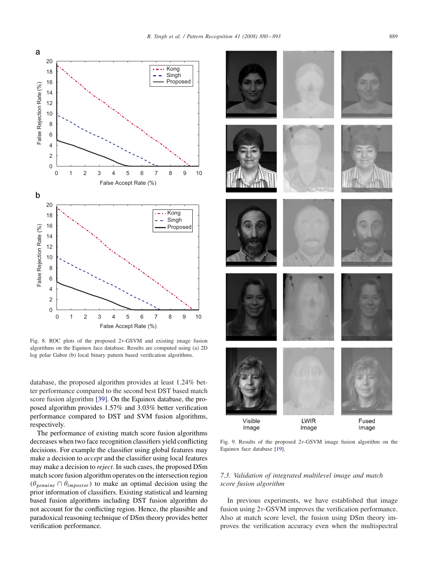

Fig. 8. ROC plots of the proposed 2v-GSVM and existing image fusion algorithms on the Equinox face database. Results are computed using (a) 2D log polar Gabor (b) local binary pattern based verification algorithms.

database, the proposed algorithm provides at least 1.24% better performance compared to the second best DST based match score fusion algorithm [39]. On the Equinox database, the proposed algorithm provides 1.57% and 3.03% better verification performance compared to DST and SVM fusion algorithms, respectively.

The performance of existing match score fusion algorithms decreases when two face recognition classifiers yield conflicting decisions. For example the classifier using global features may make a decision to *accept* and the classifier using local features may make a decision to *reject*. In such cases, the proposed DSm match score fusion algorithm operates on the intersection region  $(\theta_{genuine} \cap \theta_{impostor})$  to make an optimal decision using the prior information of classifiers. Existing statistical and learning based fusion algorithms including DST fusion algorithm do not account for the conflicting region. Hence, the plausible and paradoxical reasoning technique of DSm theory provides better verification performance.



Fig. 9. Results of the proposed 2v-GSVM image fusion algorithm on the Equinox face database [19].

# *7.3. Validation of integrated multilevel image and match score fusion algorithm*

In previous experiments, we have established that image fusion using 2v-GSVM improves the verification performance. Also at match score level, the fusion using DSm theory improves the verification accuracy even when the multispectral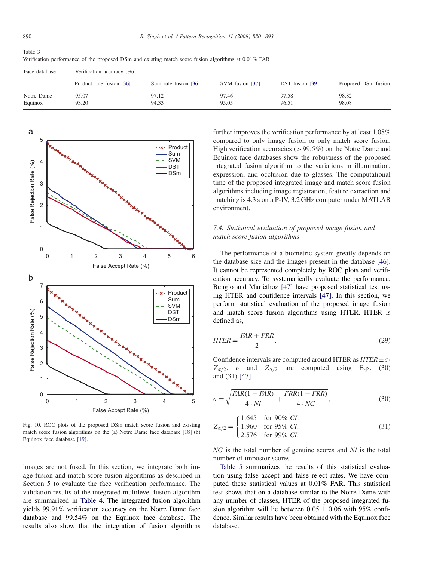| Table 3                                                                                              |  |  |  |  |
|------------------------------------------------------------------------------------------------------|--|--|--|--|
| Verification performance of the proposed DSm and existing match score fusion algorithms at 0.01% FAR |  |  |  |  |

| Face database | Verification accuracy $(\%)$ |                      |                 |                 |                     |  |  |  |  |  |
|---------------|------------------------------|----------------------|-----------------|-----------------|---------------------|--|--|--|--|--|
|               | Product rule fusion [36]     | Sum rule fusion [36] | SVM fusion [37] | DST fusion [39] | Proposed DSm fusion |  |  |  |  |  |
| Notre Dame    | 95.07                        | 97.12                | 97.46           | 97.58           | 98.82               |  |  |  |  |  |
| Equinox       | 93.20                        | 94.33                | 95.05           | 96.51           | 98.08               |  |  |  |  |  |



Fig. 10. ROC plots of the proposed DSm match score fusion and existing match score fusion algorithms on the (a) Notre Dame face database [18] (b) Equinox face database [19].

images are not fused. In this section, we integrate both image fusion and match score fusion algorithms as described in Section 5 to evaluate the face verification performance. The validation results of the integrated multilevel fusion algorithm are summarized in Table 4. The integrated fusion algorithm yields 99.91% verification accuracy on the Notre Dame face database and 99.54% on the Equinox face database. The results also show that the integration of fusion algorithms

further improves the verification performance by at least 1.08% compared to only image fusion or only match score fusion. High verification accuracies ( $> 99.5\%$ ) on the Notre Dame and Equinox face databases show the robustness of the proposed integrated fusion algorithm to the variations in illumination, expression, and occlusion due to glasses. The computational time of the proposed integrated image and match score fusion algorithms including image registration, feature extraction and matching is 4.3 s on a P-IV, 3.2 GHz computer under MATLAB environment.

# *7.4. Statistical evaluation of proposed image fusion and match score fusion algorithms*

The performance of a biometric system greatly depends on the database size and the images present in the database [46]. It cannot be represented completely by ROC plots and verification accuracy. To systematically evaluate the performance, Bengio and Marièthoz [47] have proposed statistical test using HTER and confidence intervals [47]. In this section, we perform statistical evaluation of the proposed image fusion and match score fusion algorithms using HTER. HTER is defined as,

$$
HTER = \frac{FAR + FRR}{2}.
$$
\n(29)

Confidence intervals are computed around HTER as  $HTER \pm \sigma$ .  $Z_{\alpha/2}$ .  $\sigma$  and  $Z_{\alpha/2}$  are computed using Eqs. (30) and (31) [47]

$$
\sigma = \sqrt{\frac{FAR(1 - FAR)}{4 \cdot NI} + \frac{FRR(1 - FRR)}{4 \cdot NG}},\tag{30}
$$

$$
Z_{\alpha/2} = \begin{cases} 1.645 & \text{for 90\% CI,} \\ 1.960 & \text{for 95\% CI,} \\ 2.576 & \text{for 99\% CI,} \end{cases}
$$
(31)

*NG* is the total number of genuine scores and *NI* is the total number of impostor scores.

Table 5 summarizes the results of this statistical evaluation using false accept and false reject rates. We have computed these statistical values at 0.01% FAR. This statistical test shows that on a database similar to the Notre Dame with any number of classes, HTER of the proposed integrated fusion algorithm will lie between  $0.05 \pm 0.06$  with 95% confidence. Similar results have been obtained with the Equinox face database.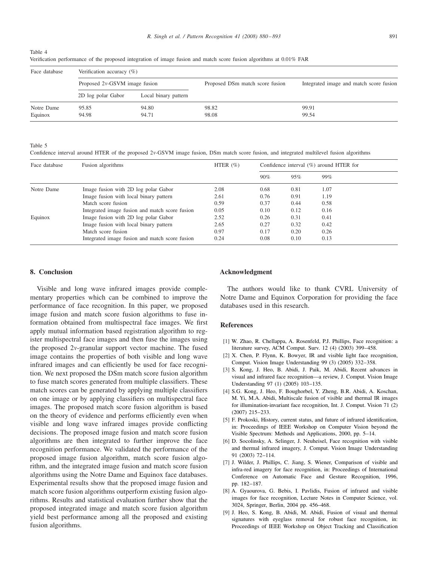*R. Singh et al. / Pattern Recognition 41 (2008) 880 –893* 891

| Table 4                                                                                                             |  |  |  |  |  |  |  |
|---------------------------------------------------------------------------------------------------------------------|--|--|--|--|--|--|--|
| Verification performance of the proposed integration of image fusion and match score fusion algorithms at 0.01% FAR |  |  |  |  |  |  |  |

| Face database         | Verification accuracy $(\%)$     |                      |                                 |                                         |  |  |  |  |  |
|-----------------------|----------------------------------|----------------------|---------------------------------|-----------------------------------------|--|--|--|--|--|
|                       | Proposed $2v$ -GSVM image fusion |                      | Proposed DSm match score fusion | Integrated image and match score fusion |  |  |  |  |  |
|                       | 2D log polar Gabor               | Local binary pattern |                                 |                                         |  |  |  |  |  |
| Notre Dame<br>Equinox | 95.85<br>94.98                   | 94.80<br>94.71       | 98.82<br>98.08                  | 99.91<br>99.54                          |  |  |  |  |  |

Table 5

Confidence interval around HTER of the proposed 2v-GSVM image fusion, DSm match score fusion, and integrated multilevel fusion algorithms

| Face database | Fusion algorithms                              | HTER $(\% )$ | Confidence interval $(\%)$ around HTER for |      |      |  |
|---------------|------------------------------------------------|--------------|--------------------------------------------|------|------|--|
|               |                                                |              | 90%                                        | 95%  | 99%  |  |
| Notre Dame    | Image fusion with 2D log polar Gabor           | 2.08         | 0.68                                       | 0.81 | 1.07 |  |
|               | Image fusion with local binary pattern         | 2.61         | 0.76                                       | 0.91 | 1.19 |  |
|               | Match score fusion                             | 0.59         | 0.37                                       | 0.44 | 0.58 |  |
|               | Integrated image fusion and match score fusion | 0.05         | 0.10                                       | 0.12 | 0.16 |  |
| Equinox       | Image fusion with 2D log polar Gabor           | 2.52         | 0.26                                       | 0.31 | 0.41 |  |
|               | Image fusion with local binary pattern         | 2.65         | 0.27                                       | 0.32 | 0.42 |  |
|               | Match score fusion                             | 0.97         | 0.17                                       | 0.20 | 0.26 |  |
|               | Integrated image fusion and match score fusion | 0.24         | 0.08                                       | 0.10 | 0.13 |  |

### **8. Conclusion**

Visible and long wave infrared images provide complementary properties which can be combined to improve the performance of face recognition. In this paper, we proposed image fusion and match score fusion algorithms to fuse information obtained from multispectral face images. We first apply mutual information based registration algorithm to register multispectral face images and then fuse the images using the proposed 2v-granular support vector machine. The fused image contains the properties of both visible and long wave infrared images and can efficiently be used for face recognition. We next proposed the DSm match score fusion algorithm to fuse match scores generated from multiple classifiers. These match scores can be generated by applying multiple classifiers on one image or by applying classifiers on multispectral face images. The proposed match score fusion algorithm is based on the theory of evidence and performs efficiently even when visible and long wave infrared images provide conflicting decisions. The proposed image fusion and match score fusion algorithms are then integrated to further improve the face recognition performance. We validated the performance of the proposed image fusion algorithm, match score fusion algorithm, and the integrated image fusion and match score fusion algorithms using the Notre Dame and Equinox face databases. Experimental results show that the proposed image fusion and match score fusion algorithms outperform existing fusion algorithms. Results and statistical evaluation further show that the proposed integrated image and match score fusion algorithm yield best performance among all the proposed and existing fusion algorithms.

#### **Acknowledgment**

The authors would like to thank CVRL University of Notre Dame and Equinox Corporation for providing the face databases used in this research.

#### **References**

- [1] W. Zhao, R. Chellappa, A. Rosenfeld, P.J. Phillips, Face recognition: a literature survey, ACM Comput. Surv. 12 (4) (2003) 399–458.
- [2] X. Chen, P. Flynn, K. Bowyer, IR and visible light face recognition, Comput. Vision Image Understanding 99 (3) (2005) 332–358.
- [3] S. Kong, J. Heo, B. Abidi, J. Paik, M. Abidi, Recent advances in visual and infrared face recognition—a review, J. Comput. Vision Image Understanding 97 (1) (2005) 103–135.
- [4] S.G. Kong, J. Heo, F. Boughorbel, Y. Zheng, B.R. Abidi, A. Koschan, M. Yi, M.A. Abidi, Multiscale fusion of visible and thermal IR images for illumination-invariant face recognition, Int. J. Comput. Vision 71 (2) (2007) 215–233.
- [5] F. Prokoski, History, current status, and future of infrared identification, in: Proceedings of IEEE Workshop on Computer Vision beyond the Visible Spectrum: Methods and Applications, 2000, pp. 5–14.
- [6] D. Socolinsky, A. Selinger, J. Neuheisel, Face recognition with visible and thermal infrared imagery, J. Comput. Vision Image Understanding 91 (2003) 72–114.
- [7] J. Wilder, J. Phillips, C. Jiang, S. Wiener, Comparison of visible and infra-red imagery for face recognition, in: Proceedings of International Conference on Automatic Face and Gesture Recognition, 1996, pp. 182–187.
- [8] A. Gyaourova, G. Bebis, I. Pavlidis, Fusion of infrared and visible images for face recognition, Lecture Notes in Computer Science, vol. 3024, Springer, Berlin, 2004 pp. 456–468.
- [9] J. Heo, S. Kong, B. Abidi, M. Abidi, Fusion of visual and thermal signatures with eyeglass removal for robust face recognition, in: Proceedings of IEEE Workshop on Object Tracking and Classification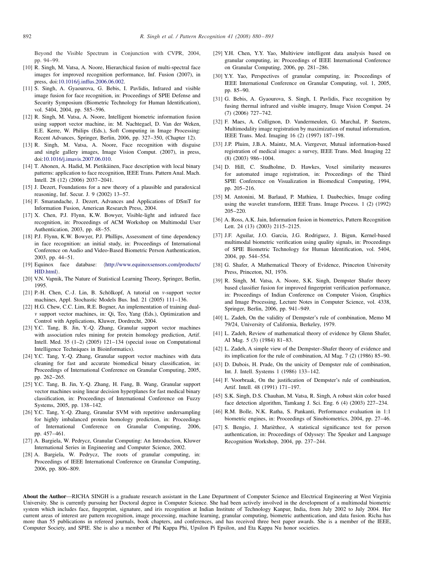Beyond the Visible Spectrum in Conjunction with CVPR, 2004, pp. 94–99.

- [10] R. Singh, M. Vatsa, A. Noore, Hierarchical fusion of multi-spectral face images for improved recognition performance, Inf. Fusion (2007), in press, doi:10.1016/j.inffus.2006.06.002.
- [11] S. Singh, A. Gyaourova, G. Bebis, I. Pavlidis, Infrared and visible image fusion for face recognition, in: Proceedings of SPIE Defense and Security Symposium (Biometric Technology for Human Identification), vol. 5404, 2004, pp. 585–596.
- [12] R. Singh, M. Vatsa, A. Noore, Intelligent biometric information fusion using support vector machine, in: M. Nachtegael, D. Van der Weken, E.E. Kerre, W. Philips (Eds.), Soft Computing in Image Processing: Recent Advances, Springer, Berlin, 2006, pp. 327–350, (Chapter 12).
- [13] R. Singh, M. Vatsa, A. Noore, Face recognition with disguise and single gallery images, Image Vision Comput. (2007), in press, doi:10.1016/j.imavis.2007.06.010.
- [14] T. Ahonen, A. Hadid, M. Pietikäinen, Face description with local binary patterns: application to face recognition, IEEE Trans. Pattern Anal. Mach. Intell. 28 (12) (2006) 2037–2041.
- [15] J. Dezert, Foundations for a new theory of a plausible and paradoxical reasoning, Inf. Secur. J. 9 (2002) 13–57.
- [16] F. Smarandache, J. Dezert, Advances and Applications of DSmT for Information Fusion, American Research Press, 2004.
- [17] X. Chen, P.J. Flynn, K.W. Bowyer, Visible-light and infrared face recognition, in: Proceedings of ACM Workshop on Multimodal User Authentication, 2003, pp. 48–55.
- [18] P.J. Flynn, K.W. Bowyer, P.J. Phillips, Assessment of time dependency in face recognition: an initial study, in: Proceedings of International Conference on Audio and Video-Based Biometric Person Authentication, 2003, pp. 44–51.
- [19] Equinox face database: (http://www.equinoxsensors.com/products/ HID.html.
- [20] V.N. Vapnik, The Nature of Statistical Learning Theory, Springer, Berlin, 1995.
- [21] P.-H. Chen, C.-J. Lin, B. Schölkopf, A tutorial on v-support vector machines, Appl. Stochastic Models Bus. Ind. 21 (2005) 111–136.
- [22] H.G. Chew, C.C. Lim, R.E. Bogner, An implementation of training dual-- support vector machines, in: Qi, Teo, Yang (Eds.), Optimization and Control with Applications, Kluwer, Dordrecht, 2004.
- [23] Y.C. Tang, B. Jin, Y.-Q. Zhang, Granular support vector machines with association rules mining for protein homology prediction, Artif. Intell. Med. 35 (1–2) (2005) 121–134 (special issue on Computational Intelligence Techniques in Bioinformatics).
- [24] Y.C. Tang, Y.-Q. Zhang, Granular support vector machines with data cleaning for fast and accurate biomedical binary classification, in: Proceedings of International Conference on Granular Computing, 2005, pp. 262–265.
- [25] Y.C. Tang, B. Jin, Y.-Q. Zhang, H. Fang, B. Wang, Granular support vector machines using linear decision hyperplanes for fast medical binary classification, in: Proceedings of International Conference on Fuzzy Systems, 2005, pp. 138–142.
- [26] Y.C. Tang, Y.-Q. Zhang, Granular SVM with repetitive undersampling for highly imbalanced protein homology prediction, in: Proceedings of International Conference on Granular Computing, 2006, pp. 457–461.
- [27] A. Bargiela, W. Pedrycz, Granular Computing: An Introduction, Kluwer International Series in Engineering and Computer Science, 2002.
- [28] A. Bargiela, W. Pedrycz, The roots of granular computing, in: Proceedings of IEEE International Conference on Granular Computing, 2006, pp. 806–809.
- [29] Y.H. Chen, Y.Y. Yao, Multiview intelligent data analysis based on granular computing, in: Proceedings of IEEE International Conference on Granular Computing, 2006, pp. 281–286.
- [30] Y.Y. Yao, Perspectives of granular computing, in: Proceedings of IEEE International Conference on Granular Computing, vol. 1, 2005, pp. 85–90.
- [31] G. Bebis, A. Gyaourova, S. Singh, I. Pavlidis, Face recognition by fusing thermal infrared and visible imagery, Image Vision Comput. 24 (7) (2006) 727–742.
- [32] F. Maes, A. Collignon, D. Vandermeulen, G. Marchal, P. Suetens, Multimodality image registration by maximization of mutual information, IEEE Trans. Med. Imaging 16 (2) (1997) 187–198.
- [33] J.P. Pluim, J.B.A. Maintz, M.A. Viergever, Mutual information-based registration of medical images: a survey, IEEE Trans. Med. Imaging 22 (8) (2003) 986–1004.
- [34] D. Hill, C. Studholme, D. Hawkes, Voxel similarity measures for automated image registration, in: Proceedings of the Third SPIE Conference on Visualization in Biomedical Computing, 1994, pp. 205–216.
- [35] M. Antonini, M. Barlaud, P. Mathieu, I. Daubechies, Image coding using the wavelet transform, IEEE Trans. Image Process. 1 (2) (1992) 205–220.
- [36] A. Ross, A.K. Jain, Information fusion in biometrics, Pattern Recognition Lett. 24 (13) (2003) 2115–2125.
- [37] J.F. Aguilar, J.O. Garcia, J.G. Rodriguez, J. Bigun, Kernel-based multimodal biometric verification using quality signals, in: Proceedings of SPIE Biometric Technology for Human Identification, vol. 5404, 2004, pp. 544–554.
- [38] G. Shafer, A Mathematical Theory of Evidence, Princeton University Press, Princeton, NJ, 1976.
- [39] R. Singh, M. Vatsa, A. Noore, S.K. Singh, Dempster Shafer theory based classifier fusion for improved fingerprint verification performance, in: Proceedings of Indian Conference on Computer Vision, Graphics and Image Processing, Lecture Notes in Computer Science, vol. 4338, Springer, Berlin, 2006, pp. 941–949.
- [40] L. Zadeh, On the validity of Dempster's rule of combination, Memo M 79/24, University of California, Berkeley, 1979.
- [41] L. Zadeh, Review of mathematical theory of evidence by Glenn Shafer, AI Mag. 5 (3) (1984) 81–83.
- [42] L. Zadeh, A simple view of the Dempster–Shafer theory of evidence and its implication for the rule of combination, AI Mag. 7 (2) (1986) 85–90.
- [43] D. Dubois, H. Prade, On the unicity of Dempster rule of combination, Int. J. Intell. Systems 1 (1986) 133–142.
- [44] F. Voorbraak, On the justification of Dempster's rule of combination, Artif. Intell. 48 (1991) 171–197.
- [45] S.K. Singh, D.S. Chauhan, M. Vatsa, R. Singh, A robust skin color based face detection algorithm, Tamkang J. Sci. Eng. 6 (4) (2003) 227–234.
- [46] R.M. Bolle, N.K. Ratha, S. Pankanti, Performance evaluation in 1:1 biometric engines, in: Proceedings of Sinobiometrics, 2004, pp. 27–46.
- [47] S. Bengio, J. Marièthoz, A statistical significance test for person authentication, in: Proceedings of Odyssey: The Speaker and Language Recognition Workshop, 2004, pp. 237–244.

**About the Author**—RICHA SINGH is a graduate research assistant in the Lane Department of Computer Science and Electrical Engineering at West Virginia University. She is currently pursuing her Doctoral degree in Computer Science. She had been actively involved in the development of a multimodal biometric system which includes face, fingerprint, signature, and iris recognition at Indian Institute of Technology Kanpur, India, from July 2002 to July 2004. Her current areas of interest are pattern recognition, image processing, machine learning, granular computing, biometric authentication, and data fusion. Richa has more than 55 publications in refereed journals, book chapters, and conferences, and has received three best paper awards. She is a member of the IEEE, Computer Society, and SPIE. She is also a member of Phi Kappa Phi, Upsilon Pi Epsilon, and Eta Kappa Nu honor societies.